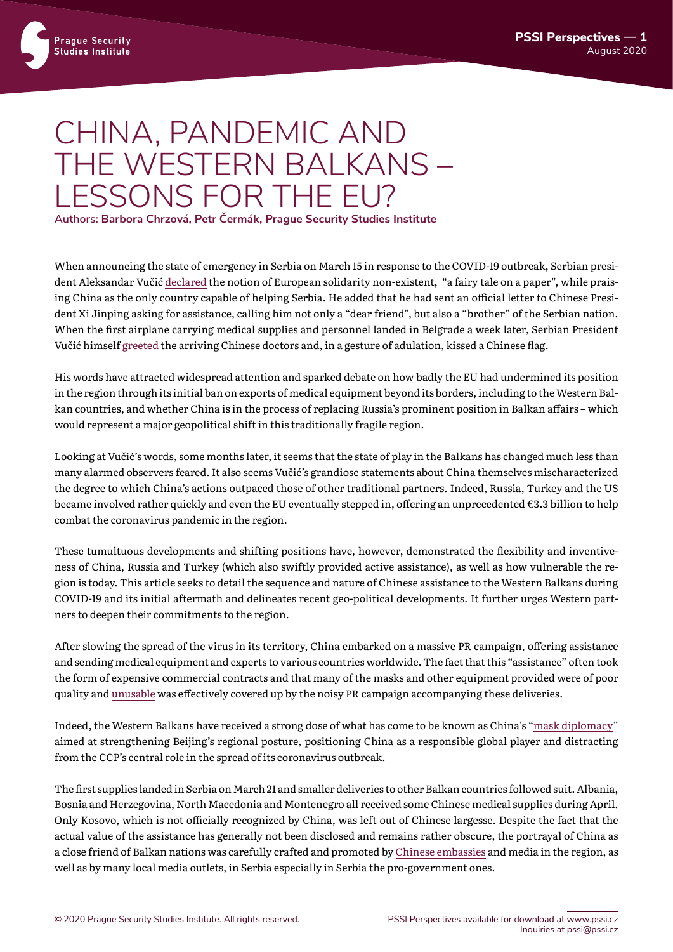## CHINA, PANDEMIC AND THE WESTERN BALKANS – LESSONS FOR THE EU? **Authors: Barbora Chrzová, Petr Čermák, Prague Security Studies Institute**

When announcing the state of emergency in Serbia on March 15 in response to the COVID-19 outbreak, Serbian president Aleksandar Vučić [declared](https://www.bl-portal.com/region/video-proglaseno-vanredno-stanje-u-srbiji/) the notion of European solidarity non-existent, "a fairy tale on a paper", while praising China as the only country capable of helping Serbia. He added that he had sent an official letter to Chinese President Xi Jinping asking for assistance, calling him not only a "dear friend", but also a "brother" of the Serbian nation. When the first airplane carrying medical supplies and personnel landed in Belgrade a week later, Serbian President

Vučić himself [greeted](https://www.euractiv.com/section/china/news/serbia-sets-the-stage-for-beijings-mask-diplomacy/1450727/) the arriving Chinese doctors and, in a gesture of adulation, kissed a Chinese flag.

His words have attracted widespread attention and sparked debate on how badly the EU had undermined its position in the region through its initial ban on exports of medical equipment beyond its borders, including to the Western Balkan countries, and whether China is in the process of replacing Russia's prominent position in Balkan affairs – which would represent a major geopolitical shift in this traditionally fragile region.

Looking at Vučić's words, some months later, it seems that the state of play in the Balkans has changed much less than many alarmed observers feared. It also seems Vučić's grandiose statements about China themselves mischaracterized the degree to which China's actions outpaced those of other traditional partners. Indeed, Russia, Turkey and the US became involved rather quickly and even the EU eventually stepped in, offering an unprecedented €3.3 billion to help combat the coronavirus pandemic in the region.

These tumultuous developments and shifting positions have, however, demonstrated the flexibility and inventiveness of China, Russia and Turkey (which also swiftly provided active assistance), as well as how vulnerable the region is today. This article seeks to detail the sequence and nature of Chinese assistance to the Western Balkans during COVID-19 and its initial aftermath and delineates recent geo-political developments. It further urges Western partners to deepen their commitments to the region.

After slowing the spread of the virus in its territory, China embarked on a massive PR campaign, offering assistance and sending medical equipment and experts to various countries worldwide. The fact that this "assistance" often took the form of expensive commercial contracts and that many of the masks and other equipment provided were of poor quality and [unusable](https://www.bbc.com/news/world-europe-52092395) was effectively covered up by the noisy PR campaign accompanying these deliveries.

Indeed, the Western Balkans have received a strong dose of what has come to be known as China's "[mask diplomacy](https://thediplomat.com/2020/03/chinas-mask-diplomacy/)" aimed at strengthening Beijing's regional posture, positioning China as a responsible global player and distracting from the CCP's central role in the spread of its coronavirus outbreak.

The first supplies landed in Serbia on March 21 and smaller deliveries to other Balkan countries followed suit. Albania, Bosnia and Herzegovina, North Macedonia and Montenegro all received some Chinese medical supplies during April. Only Kosovo, which is not officially recognized by China, was left out of Chinese largesse. Despite the fact that the actual value of the assistance has generally not been disclosed and remains rather obscure, the portrayal of China as a close friend of Balkan nations was carefully crafted and promoted by [Chinese embassies](https://www.cdm.me/drustvo/ambasador-kine-u-crnoj-gori-nasi-eksperti-pomoci-ce-vam-u-borbi-protiv-korone/) and media in the region, as well as by many local media outlets, in Serbia especially in Serbia the pro-government ones.